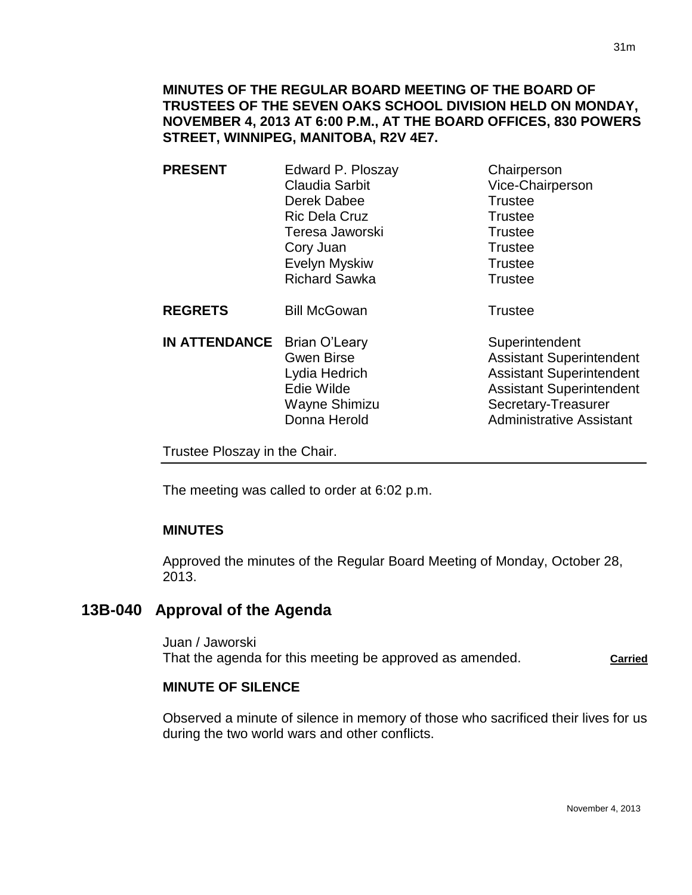### **MINUTES OF THE REGULAR BOARD MEETING OF THE BOARD OF TRUSTEES OF THE SEVEN OAKS SCHOOL DIVISION HELD ON MONDAY, NOVEMBER 4, 2013 AT 6:00 P.M., AT THE BOARD OFFICES, 830 POWERS STREET, WINNIPEG, MANITOBA, R2V 4E7.**

**PRESENT** Edward P. Ploszay Chairperson Claudia Sarbit Vice-Chairperson Derek Dabee Trustee Ric Dela Cruz **Trustee** Teresa Jaworski **Trustee** Cory Juan Trustee Evelyn Myskiw **Trustee** Richard Sawka Trustee

**REGRETS** Bill McGowan **Trustee** 

**IN ATTENDANCE** Brian O'Leary Superintendent Wayne Shimizu Secretary-Treasurer

Gwen Birse **Assistant Superintendent** Lydia Hedrich Assistant Superintendent Edie Wilde **Assistant Superintendent** Donna Herold **Administrative Assistant** 

Trustee Ploszay in the Chair.

The meeting was called to order at 6:02 p.m.

### **MINUTES**

Approved the minutes of the Regular Board Meeting of Monday, October 28, 2013.

# **13B-040 Approval of the Agenda**

Juan / Jaworski That the agenda for this meeting be approved as amended. **Carried**

### **MINUTE OF SILENCE**

Observed a minute of silence in memory of those who sacrificed their lives for us during the two world wars and other conflicts.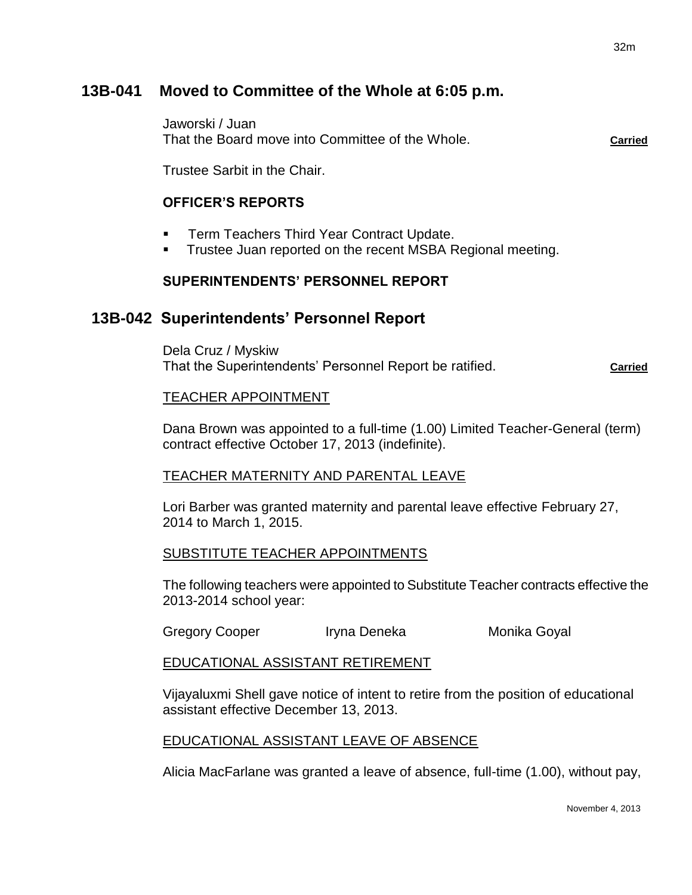# **13B-041 Moved to Committee of the Whole at 6:05 p.m.**

Jaworski / Juan That the Board move into Committee of the Whole. **Carried**

Trustee Sarbit in the Chair.

# **OFFICER'S REPORTS**

- Term Teachers Third Year Contract Update.
- Trustee Juan reported on the recent MSBA Regional meeting.

### **SUPERINTENDENTS' PERSONNEL REPORT**

# **13B-042 Superintendents' Personnel Report**

Dela Cruz / Myskiw That the Superintendents' Personnel Report be ratified. **Carried** Carried

#### TEACHER APPOINTMENT

Dana Brown was appointed to a full-time (1.00) Limited Teacher-General (term) contract effective October 17, 2013 (indefinite).

### TEACHER MATERNITY AND PARENTAL LEAVE

Lori Barber was granted maternity and parental leave effective February 27, 2014 to March 1, 2015.

### SUBSTITUTE TEACHER APPOINTMENTS

The following teachers were appointed to Substitute Teacher contracts effective the 2013-2014 school year:

Gregory Cooper Iryna Deneka Monika Goyal

#### EDUCATIONAL ASSISTANT RETIREMENT

Vijayaluxmi Shell gave notice of intent to retire from the position of educational assistant effective December 13, 2013.

#### EDUCATIONAL ASSISTANT LEAVE OF ABSENCE

Alicia MacFarlane was granted a leave of absence, full-time (1.00), without pay,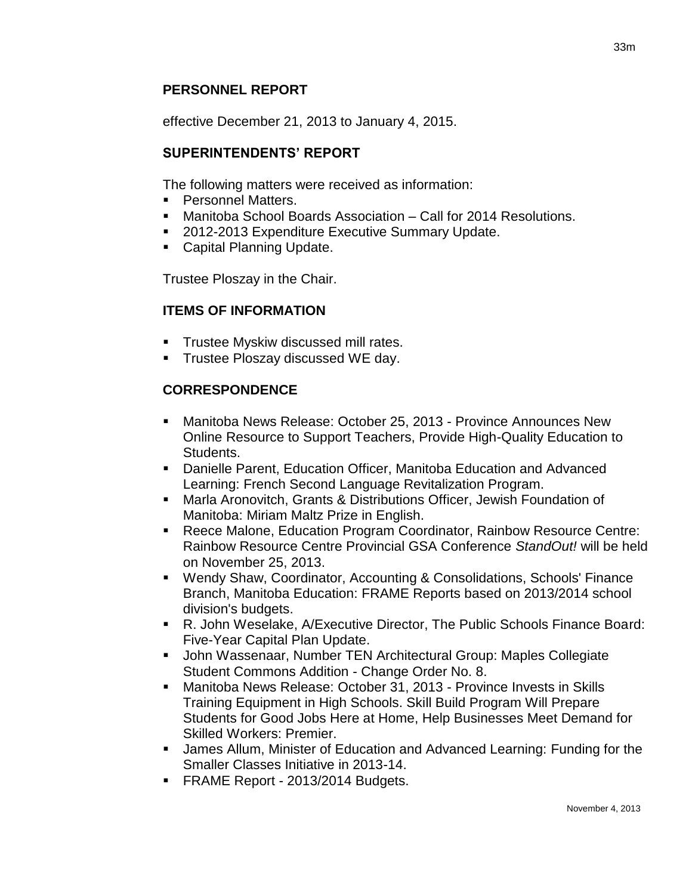# **PERSONNEL REPORT**

effective December 21, 2013 to January 4, 2015.

#### **SUPERINTENDENTS' REPORT**

The following matters were received as information:

- **Personnel Matters.**
- Manitoba School Boards Association Call for 2014 Resolutions.
- 2012-2013 Expenditure Executive Summary Update.
- **Capital Planning Update.**

Trustee Ploszay in the Chair.

### **ITEMS OF INFORMATION**

- **Trustee Myskiw discussed mill rates.**
- **Trustee Ploszay discussed WE day.**

# **CORRESPONDENCE**

- Manitoba News Release: October 25, 2013 Province Announces New Online Resource to Support Teachers, Provide High-Quality Education to Students.
- Danielle Parent, Education Officer, Manitoba Education and Advanced Learning: French Second Language Revitalization Program.
- Marla Aronovitch, Grants & Distributions Officer, Jewish Foundation of Manitoba: Miriam Maltz Prize in English.
- Reece Malone, Education Program Coordinator, Rainbow Resource Centre: Rainbow Resource Centre Provincial GSA Conference *StandOut!* will be held on November 25, 2013.
- Wendy Shaw, Coordinator, Accounting & Consolidations, Schools' Finance Branch, Manitoba Education: FRAME Reports based on 2013/2014 school division's budgets.
- R. John Weselake, A/Executive Director, The Public Schools Finance Board: Five-Year Capital Plan Update.
- John Wassenaar, Number TEN Architectural Group: Maples Collegiate Student Commons Addition - Change Order No. 8.
- Manitoba News Release: October 31, 2013 Province Invests in Skills Training Equipment in High Schools. Skill Build Program Will Prepare Students for Good Jobs Here at Home, Help Businesses Meet Demand for Skilled Workers: Premier.
- James Allum, Minister of Education and Advanced Learning: Funding for the Smaller Classes Initiative in 2013-14.
- **FRAME Report 2013/2014 Budgets.**